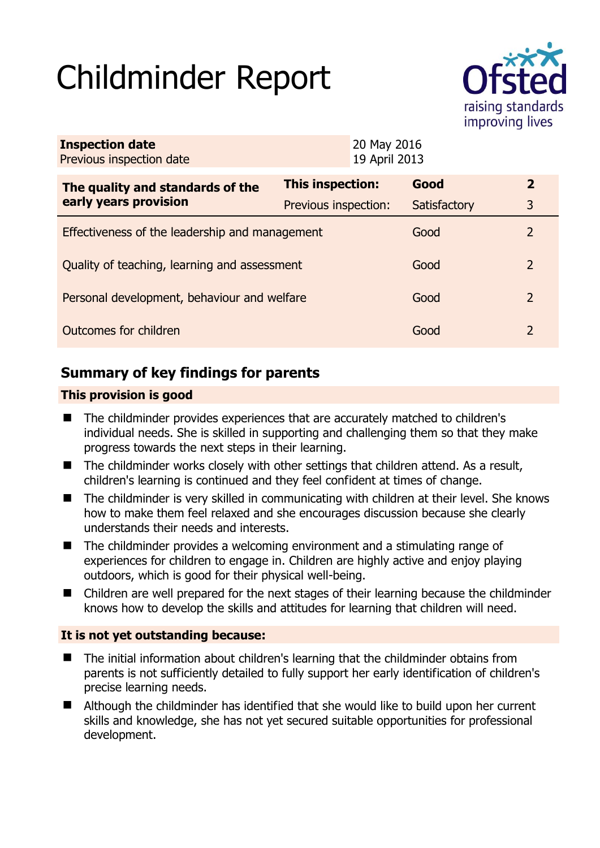# Childminder Report



| <b>Inspection date</b><br>Previous inspection date |                         | 20 May 2016<br>19 April 2013 |              |               |
|----------------------------------------------------|-------------------------|------------------------------|--------------|---------------|
| The quality and standards of the                   | <b>This inspection:</b> |                              | Good         | $\mathbf{2}$  |
| early years provision                              | Previous inspection:    |                              | Satisfactory | 3             |
| Effectiveness of the leadership and management     |                         |                              | Good         | 2             |
| Quality of teaching, learning and assessment       |                         |                              | Good         | $\mathcal{L}$ |
| Personal development, behaviour and welfare        |                         |                              | Good         | 2             |
| Outcomes for children                              |                         |                              | Good         | 2             |

## **Summary of key findings for parents**

#### **This provision is good**

- The childminder provides experiences that are accurately matched to children's individual needs. She is skilled in supporting and challenging them so that they make progress towards the next steps in their learning.
- The childminder works closely with other settings that children attend. As a result, children's learning is continued and they feel confident at times of change.
- The childminder is very skilled in communicating with children at their level. She knows how to make them feel relaxed and she encourages discussion because she clearly understands their needs and interests.
- The childminder provides a welcoming environment and a stimulating range of experiences for children to engage in. Children are highly active and enjoy playing outdoors, which is good for their physical well-being.
- Children are well prepared for the next stages of their learning because the childminder knows how to develop the skills and attitudes for learning that children will need.

#### **It is not yet outstanding because:**

- The initial information about children's learning that the childminder obtains from parents is not sufficiently detailed to fully support her early identification of children's precise learning needs.
- Although the childminder has identified that she would like to build upon her current skills and knowledge, she has not yet secured suitable opportunities for professional development.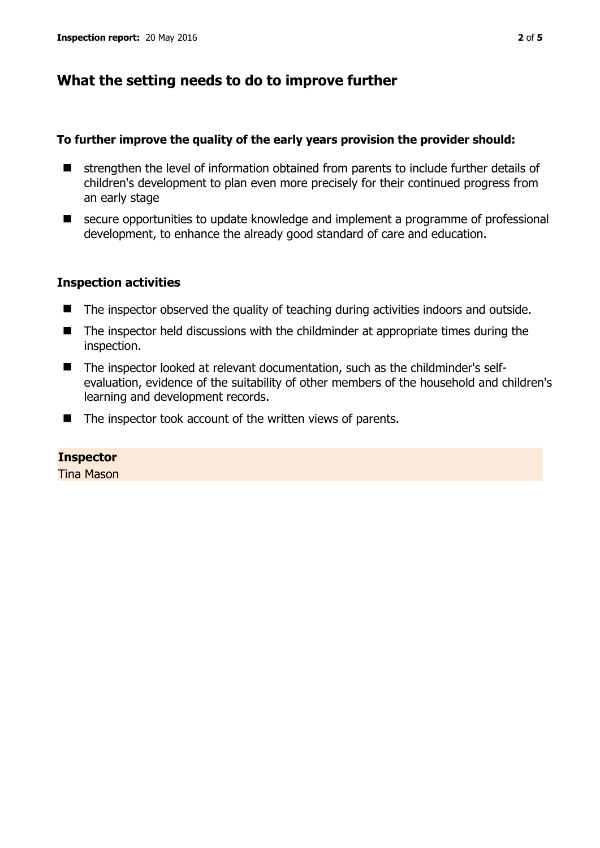## **What the setting needs to do to improve further**

#### **To further improve the quality of the early years provision the provider should:**

- strengthen the level of information obtained from parents to include further details of children's development to plan even more precisely for their continued progress from an early stage
- secure opportunities to update knowledge and implement a programme of professional development, to enhance the already good standard of care and education.

#### **Inspection activities**

- The inspector observed the quality of teaching during activities indoors and outside.
- The inspector held discussions with the childminder at appropriate times during the inspection.
- The inspector looked at relevant documentation, such as the childminder's selfevaluation, evidence of the suitability of other members of the household and children's learning and development records.
- The inspector took account of the written views of parents.

#### **Inspector**

Tina Mason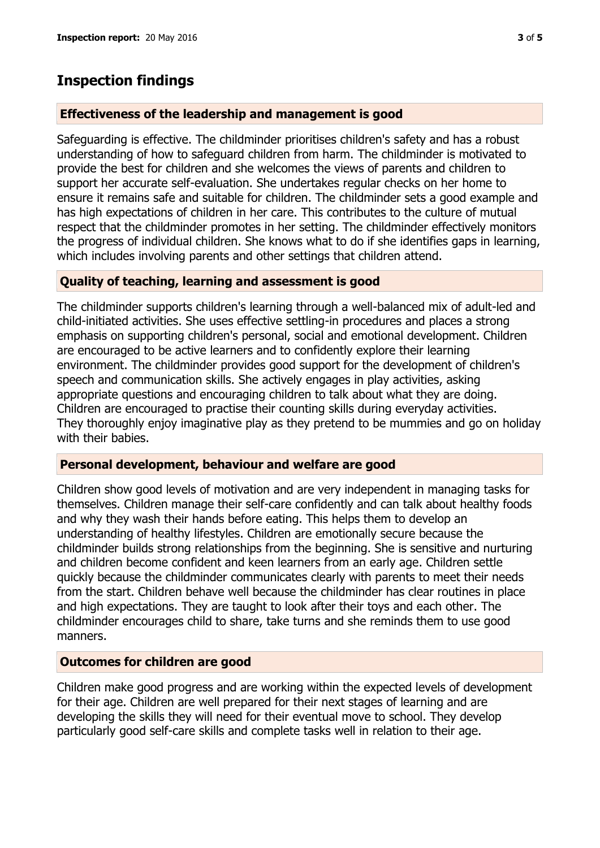### **Inspection findings**

#### **Effectiveness of the leadership and management is good**

Safeguarding is effective. The childminder prioritises children's safety and has a robust understanding of how to safeguard children from harm. The childminder is motivated to provide the best for children and she welcomes the views of parents and children to support her accurate self-evaluation. She undertakes regular checks on her home to ensure it remains safe and suitable for children. The childminder sets a good example and has high expectations of children in her care. This contributes to the culture of mutual respect that the childminder promotes in her setting. The childminder effectively monitors the progress of individual children. She knows what to do if she identifies gaps in learning, which includes involving parents and other settings that children attend.

#### **Quality of teaching, learning and assessment is good**

The childminder supports children's learning through a well-balanced mix of adult-led and child-initiated activities. She uses effective settling-in procedures and places a strong emphasis on supporting children's personal, social and emotional development. Children are encouraged to be active learners and to confidently explore their learning environment. The childminder provides good support for the development of children's speech and communication skills. She actively engages in play activities, asking appropriate questions and encouraging children to talk about what they are doing. Children are encouraged to practise their counting skills during everyday activities. They thoroughly enjoy imaginative play as they pretend to be mummies and go on holiday with their babies.

#### **Personal development, behaviour and welfare are good**

Children show good levels of motivation and are very independent in managing tasks for themselves. Children manage their self-care confidently and can talk about healthy foods and why they wash their hands before eating. This helps them to develop an understanding of healthy lifestyles. Children are emotionally secure because the childminder builds strong relationships from the beginning. She is sensitive and nurturing and children become confident and keen learners from an early age. Children settle quickly because the childminder communicates clearly with parents to meet their needs from the start. Children behave well because the childminder has clear routines in place and high expectations. They are taught to look after their toys and each other. The childminder encourages child to share, take turns and she reminds them to use good manners.

#### **Outcomes for children are good**

Children make good progress and are working within the expected levels of development for their age. Children are well prepared for their next stages of learning and are developing the skills they will need for their eventual move to school. They develop particularly good self-care skills and complete tasks well in relation to their age.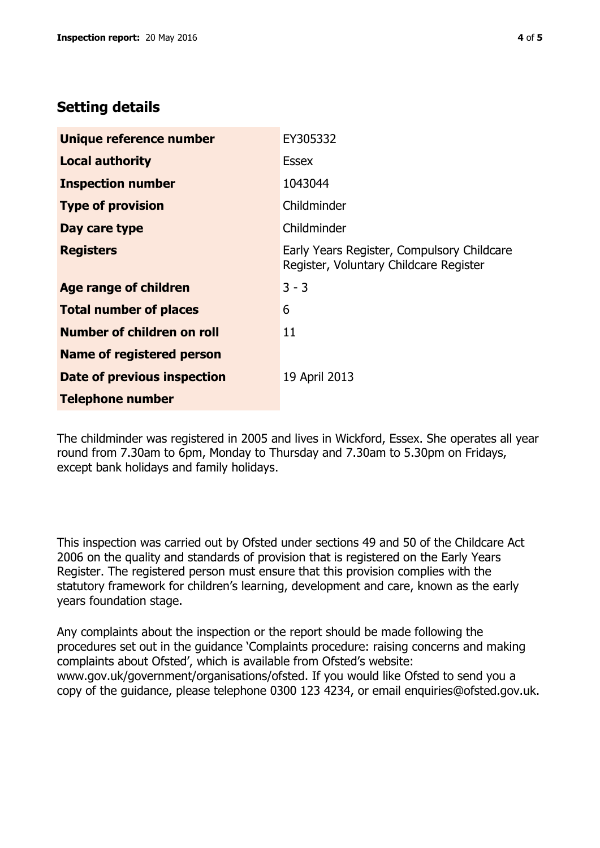## **Setting details**

| Unique reference number          | EY305332                                                                             |  |
|----------------------------------|--------------------------------------------------------------------------------------|--|
| <b>Local authority</b>           | <b>Essex</b>                                                                         |  |
| <b>Inspection number</b>         | 1043044                                                                              |  |
| <b>Type of provision</b>         | Childminder                                                                          |  |
| Day care type                    | Childminder                                                                          |  |
| <b>Registers</b>                 | Early Years Register, Compulsory Childcare<br>Register, Voluntary Childcare Register |  |
| Age range of children            | $3 - 3$                                                                              |  |
| <b>Total number of places</b>    | 6                                                                                    |  |
| Number of children on roll       | 11                                                                                   |  |
| <b>Name of registered person</b> |                                                                                      |  |
| Date of previous inspection      | 19 April 2013                                                                        |  |
| <b>Telephone number</b>          |                                                                                      |  |

The childminder was registered in 2005 and lives in Wickford, Essex. She operates all year round from 7.30am to 6pm, Monday to Thursday and 7.30am to 5.30pm on Fridays, except bank holidays and family holidays.

This inspection was carried out by Ofsted under sections 49 and 50 of the Childcare Act 2006 on the quality and standards of provision that is registered on the Early Years Register. The registered person must ensure that this provision complies with the statutory framework for children's learning, development and care, known as the early years foundation stage.

Any complaints about the inspection or the report should be made following the procedures set out in the guidance 'Complaints procedure: raising concerns and making complaints about Ofsted', which is available from Ofsted's website: www.gov.uk/government/organisations/ofsted. If you would like Ofsted to send you a copy of the guidance, please telephone 0300 123 4234, or email enquiries@ofsted.gov.uk.